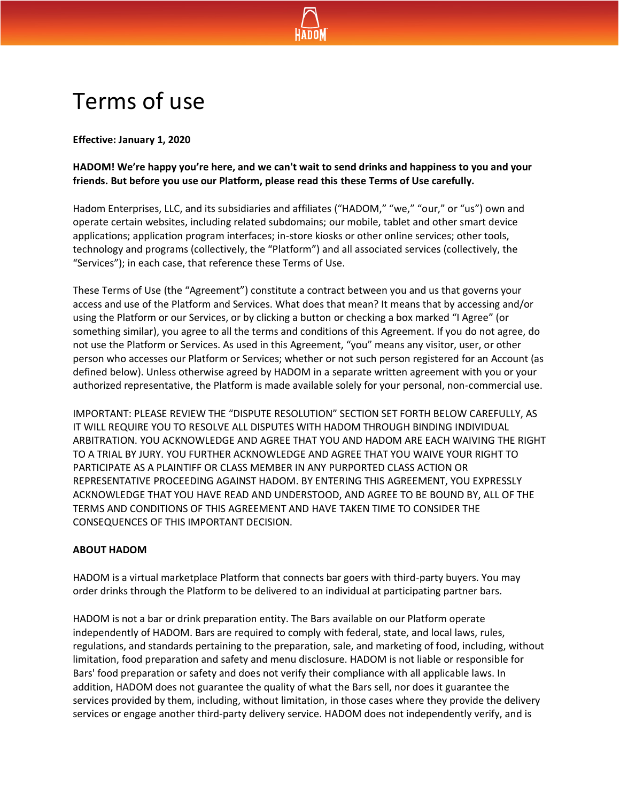

# Terms of use

**Effective: January 1, 2020**

# **HADOM! We're happy you're here, and we can't wait to send drinks and happiness to you and your friends. But before you use our Platform, please read this these Terms of Use carefully.**

Hadom Enterprises, LLC, and its subsidiaries and affiliates ("HADOM," "we," "our," or "us") own and operate certain websites, including related subdomains; our mobile, tablet and other smart device applications; application program interfaces; in-store kiosks or other online services; other tools, technology and programs (collectively, the "Platform") and all associated services (collectively, the "Services"); in each case, that reference these Terms of Use.

These Terms of Use (the "Agreement") constitute a contract between you and us that governs your access and use of the Platform and Services. What does that mean? It means that by accessing and/or using the Platform or our Services, or by clicking a button or checking a box marked "I Agree" (or something similar), you agree to all the terms and conditions of this Agreement. If you do not agree, do not use the Platform or Services. As used in this Agreement, "you" means any visitor, user, or other person who accesses our Platform or Services; whether or not such person registered for an Account (as defined below). Unless otherwise agreed by HADOM in a separate written agreement with you or your authorized representative, the Platform is made available solely for your personal, non-commercial use.

IMPORTANT: PLEASE REVIEW THE "DISPUTE RESOLUTION" SECTION SET FORTH BELOW CAREFULLY, AS IT WILL REQUIRE YOU TO RESOLVE ALL DISPUTES WITH HADOM THROUGH BINDING INDIVIDUAL ARBITRATION. YOU ACKNOWLEDGE AND AGREE THAT YOU AND HADOM ARE EACH WAIVING THE RIGHT TO A TRIAL BY JURY. YOU FURTHER ACKNOWLEDGE AND AGREE THAT YOU WAIVE YOUR RIGHT TO PARTICIPATE AS A PLAINTIFF OR CLASS MEMBER IN ANY PURPORTED CLASS ACTION OR REPRESENTATIVE PROCEEDING AGAINST HADOM. BY ENTERING THIS AGREEMENT, YOU EXPRESSLY ACKNOWLEDGE THAT YOU HAVE READ AND UNDERSTOOD, AND AGREE TO BE BOUND BY, ALL OF THE TERMS AND CONDITIONS OF THIS AGREEMENT AND HAVE TAKEN TIME TO CONSIDER THE CONSEQUENCES OF THIS IMPORTANT DECISION.

## **ABOUT HADOM**

HADOM is a virtual marketplace Platform that connects bar goers with third-party buyers. You may order drinks through the Platform to be delivered to an individual at participating partner bars.

HADOM is not a bar or drink preparation entity. The Bars available on our Platform operate independently of HADOM. Bars are required to comply with federal, state, and local laws, rules, regulations, and standards pertaining to the preparation, sale, and marketing of food, including, without limitation, food preparation and safety and menu disclosure. HADOM is not liable or responsible for Bars' food preparation or safety and does not verify their compliance with all applicable laws. In addition, HADOM does not guarantee the quality of what the Bars sell, nor does it guarantee the services provided by them, including, without limitation, in those cases where they provide the delivery services or engage another third-party delivery service. HADOM does not independently verify, and is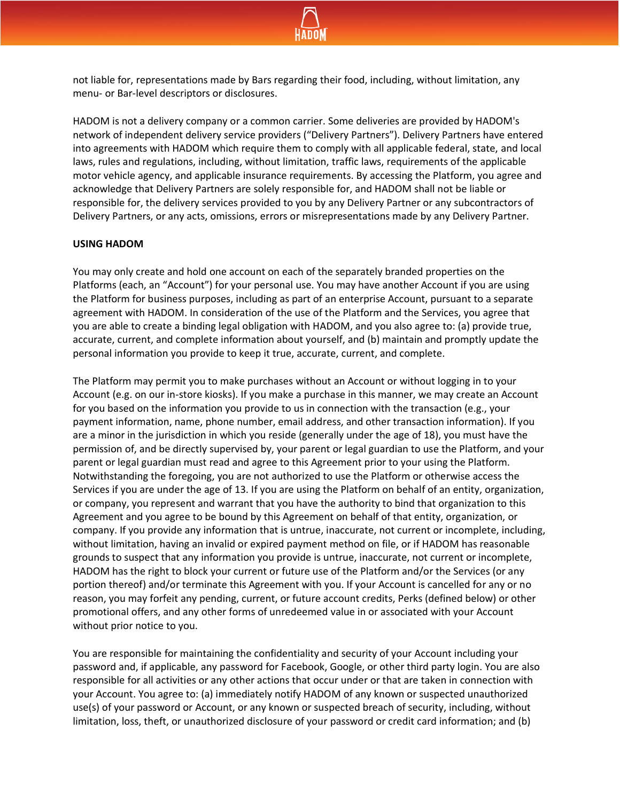

not liable for, representations made by Bars regarding their food, including, without limitation, any menu- or Bar-level descriptors or disclosures.

HADOM is not a delivery company or a common carrier. Some deliveries are provided by HADOM's network of independent delivery service providers ("Delivery Partners"). Delivery Partners have entered into agreements with HADOM which require them to comply with all applicable federal, state, and local laws, rules and regulations, including, without limitation, traffic laws, requirements of the applicable motor vehicle agency, and applicable insurance requirements. By accessing the Platform, you agree and acknowledge that Delivery Partners are solely responsible for, and HADOM shall not be liable or responsible for, the delivery services provided to you by any Delivery Partner or any subcontractors of Delivery Partners, or any acts, omissions, errors or misrepresentations made by any Delivery Partner.

#### **USING HADOM**

You may only create and hold one account on each of the separately branded properties on the Platforms (each, an "Account") for your personal use. You may have another Account if you are using the Platform for business purposes, including as part of an enterprise Account, pursuant to a separate agreement with HADOM. In consideration of the use of the Platform and the Services, you agree that you are able to create a binding legal obligation with HADOM, and you also agree to: (a) provide true, accurate, current, and complete information about yourself, and (b) maintain and promptly update the personal information you provide to keep it true, accurate, current, and complete.

The Platform may permit you to make purchases without an Account or without logging in to your Account (e.g. on our in-store kiosks). If you make a purchase in this manner, we may create an Account for you based on the information you provide to us in connection with the transaction (e.g., your payment information, name, phone number, email address, and other transaction information). If you are a minor in the jurisdiction in which you reside (generally under the age of 18), you must have the permission of, and be directly supervised by, your parent or legal guardian to use the Platform, and your parent or legal guardian must read and agree to this Agreement prior to your using the Platform. Notwithstanding the foregoing, you are not authorized to use the Platform or otherwise access the Services if you are under the age of 13. If you are using the Platform on behalf of an entity, organization, or company, you represent and warrant that you have the authority to bind that organization to this Agreement and you agree to be bound by this Agreement on behalf of that entity, organization, or company. If you provide any information that is untrue, inaccurate, not current or incomplete, including, without limitation, having an invalid or expired payment method on file, or if HADOM has reasonable grounds to suspect that any information you provide is untrue, inaccurate, not current or incomplete, HADOM has the right to block your current or future use of the Platform and/or the Services (or any portion thereof) and/or terminate this Agreement with you. If your Account is cancelled for any or no reason, you may forfeit any pending, current, or future account credits, Perks (defined below) or other promotional offers, and any other forms of unredeemed value in or associated with your Account without prior notice to you.

You are responsible for maintaining the confidentiality and security of your Account including your password and, if applicable, any password for Facebook, Google, or other third party login. You are also responsible for all activities or any other actions that occur under or that are taken in connection with your Account. You agree to: (a) immediately notify HADOM of any known or suspected unauthorized use(s) of your password or Account, or any known or suspected breach of security, including, without limitation, loss, theft, or unauthorized disclosure of your password or credit card information; and (b)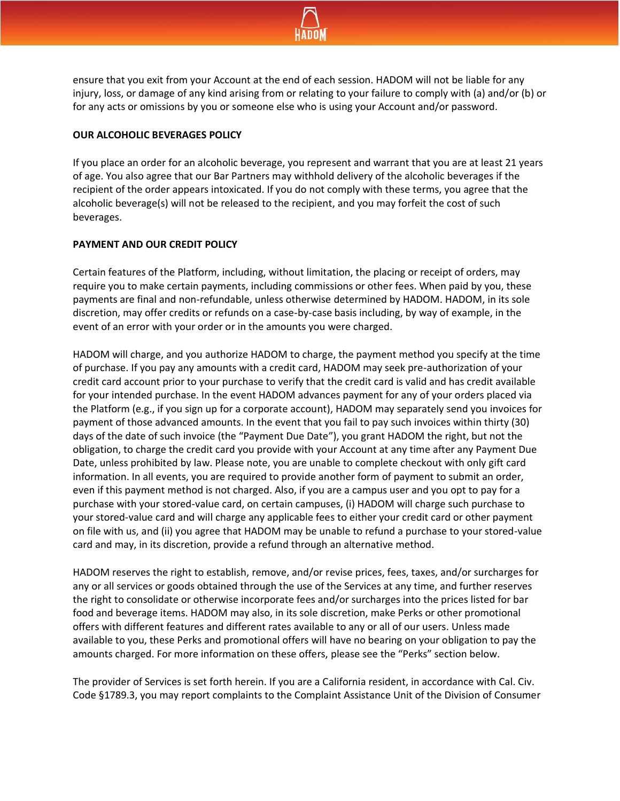

ensure that you exit from your Account at the end of each session. HADOM will not be liable for any injury, loss, or damage of any kind arising from or relating to your failure to comply with (a) and/or (b) or for any acts or omissions by you or someone else who is using your Account and/or password.

## **OUR ALCOHOLIC BEVERAGES POLICY**

If you place an order for an alcoholic beverage, you represent and warrant that you are at least 21 years of age. You also agree that our Bar Partners may withhold delivery of the alcoholic beverages if the recipient of the order appears intoxicated. If you do not comply with these terms, you agree that the alcoholic beverage(s) will not be released to the recipient, and you may forfeit the cost of such beverages.

#### **PAYMENT AND OUR CREDIT POLICY**

Certain features of the Platform, including, without limitation, the placing or receipt of orders, may require you to make certain payments, including commissions or other fees. When paid by you, these payments are final and non-refundable, unless otherwise determined by HADOM. HADOM, in its sole discretion, may offer credits or refunds on a case-by-case basis including, by way of example, in the event of an error with your order or in the amounts you were charged.

HADOM will charge, and you authorize HADOM to charge, the payment method you specify at the time of purchase. If you pay any amounts with a credit card, HADOM may seek pre-authorization of your credit card account prior to your purchase to verify that the credit card is valid and has credit available for your intended purchase. In the event HADOM advances payment for any of your orders placed via the Platform (e.g., if you sign up for a corporate account), HADOM may separately send you invoices for payment of those advanced amounts. In the event that you fail to pay such invoices within thirty (30) days of the date of such invoice (the "Payment Due Date"), you grant HADOM the right, but not the obligation, to charge the credit card you provide with your Account at any time after any Payment Due Date, unless prohibited by law. Please note, you are unable to complete checkout with only gift card information. In all events, you are required to provide another form of payment to submit an order, even if this payment method is not charged. Also, if you are a campus user and you opt to pay for a purchase with your stored-value card, on certain campuses, (i) HADOM will charge such purchase to your stored-value card and will charge any applicable fees to either your credit card or other payment on file with us, and (ii) you agree that HADOM may be unable to refund a purchase to your stored-value card and may, in its discretion, provide a refund through an alternative method.

HADOM reserves the right to establish, remove, and/or revise prices, fees, taxes, and/or surcharges for any or all services or goods obtained through the use of the Services at any time, and further reserves the right to consolidate or otherwise incorporate fees and/or surcharges into the prices listed for bar food and beverage items. HADOM may also, in its sole discretion, make Perks or other promotional offers with different features and different rates available to any or all of our users. Unless made available to you, these Perks and promotional offers will have no bearing on your obligation to pay the amounts charged. For more information on these offers, please see the "Perks" section below.

The provider of Services is set forth herein. If you are a California resident, in accordance with Cal. Civ. Code §1789.3, you may report complaints to the Complaint Assistance Unit of the Division of Consumer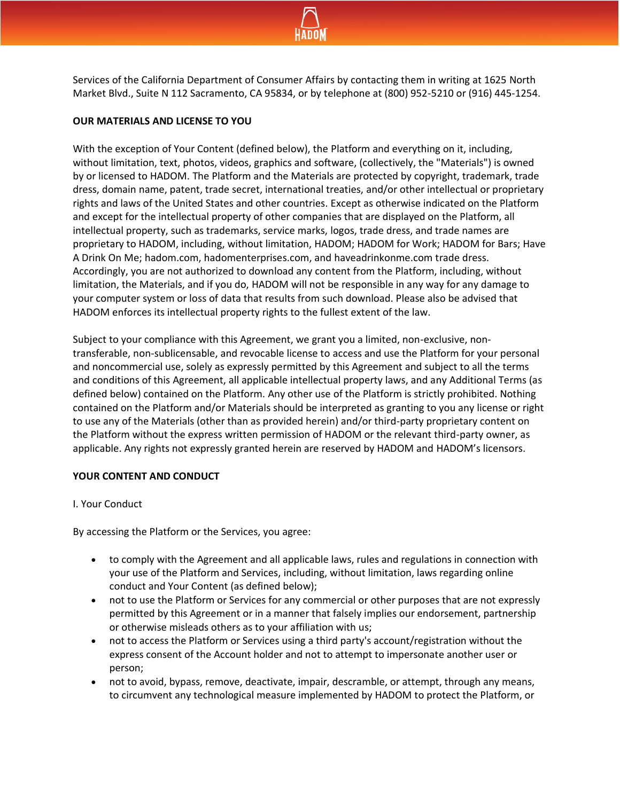

Services of the California Department of Consumer Affairs by contacting them in writing at 1625 North Market Blvd., Suite N 112 Sacramento, CA 95834, or by telephone at (800) 952-5210 or (916) 445-1254.

### **OUR MATERIALS AND LICENSE TO YOU**

With the exception of Your Content (defined below), the Platform and everything on it, including, without limitation, text, photos, videos, graphics and software, (collectively, the "Materials") is owned by or licensed to HADOM. The Platform and the Materials are protected by copyright, trademark, trade dress, domain name, patent, trade secret, international treaties, and/or other intellectual or proprietary rights and laws of the United States and other countries. Except as otherwise indicated on the Platform and except for the intellectual property of other companies that are displayed on the Platform, all intellectual property, such as trademarks, service marks, logos, trade dress, and trade names are proprietary to HADOM, including, without limitation, HADOM; HADOM for Work; HADOM for Bars; Have A Drink On Me; hadom.com, hadomenterprises.com, and haveadrinkonme.com trade dress. Accordingly, you are not authorized to download any content from the Platform, including, without limitation, the Materials, and if you do, HADOM will not be responsible in any way for any damage to your computer system or loss of data that results from such download. Please also be advised that HADOM enforces its intellectual property rights to the fullest extent of the law.

Subject to your compliance with this Agreement, we grant you a limited, non-exclusive, nontransferable, non-sublicensable, and revocable license to access and use the Platform for your personal and noncommercial use, solely as expressly permitted by this Agreement and subject to all the terms and conditions of this Agreement, all applicable intellectual property laws, and any Additional Terms (as defined below) contained on the Platform. Any other use of the Platform is strictly prohibited. Nothing contained on the Platform and/or Materials should be interpreted as granting to you any license or right to use any of the Materials (other than as provided herein) and/or third-party proprietary content on the Platform without the express written permission of HADOM or the relevant third-party owner, as applicable. Any rights not expressly granted herein are reserved by HADOM and HADOM's licensors.

#### **YOUR CONTENT AND CONDUCT**

#### I. Your Conduct

By accessing the Platform or the Services, you agree:

- to comply with the Agreement and all applicable laws, rules and regulations in connection with your use of the Platform and Services, including, without limitation, laws regarding online conduct and Your Content (as defined below);
- not to use the Platform or Services for any commercial or other purposes that are not expressly permitted by this Agreement or in a manner that falsely implies our endorsement, partnership or otherwise misleads others as to your affiliation with us;
- not to access the Platform or Services using a third party's account/registration without the express consent of the Account holder and not to attempt to impersonate another user or person;
- not to avoid, bypass, remove, deactivate, impair, descramble, or attempt, through any means, to circumvent any technological measure implemented by HADOM to protect the Platform, or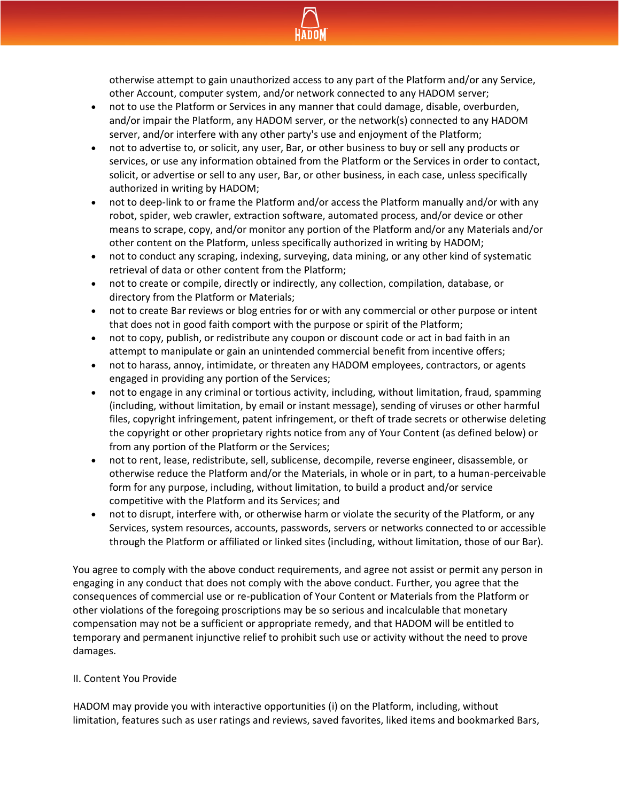

otherwise attempt to gain unauthorized access to any part of the Platform and/or any Service, other Account, computer system, and/or network connected to any HADOM server;

- not to use the Platform or Services in any manner that could damage, disable, overburden, and/or impair the Platform, any HADOM server, or the network(s) connected to any HADOM server, and/or interfere with any other party's use and enjoyment of the Platform;
- not to advertise to, or solicit, any user, Bar, or other business to buy or sell any products or services, or use any information obtained from the Platform or the Services in order to contact, solicit, or advertise or sell to any user, Bar, or other business, in each case, unless specifically authorized in writing by HADOM;
- not to deep-link to or frame the Platform and/or access the Platform manually and/or with any robot, spider, web crawler, extraction software, automated process, and/or device or other means to scrape, copy, and/or monitor any portion of the Platform and/or any Materials and/or other content on the Platform, unless specifically authorized in writing by HADOM;
- not to conduct any scraping, indexing, surveying, data mining, or any other kind of systematic retrieval of data or other content from the Platform;
- not to create or compile, directly or indirectly, any collection, compilation, database, or directory from the Platform or Materials;
- not to create Bar reviews or blog entries for or with any commercial or other purpose or intent that does not in good faith comport with the purpose or spirit of the Platform;
- not to copy, publish, or redistribute any coupon or discount code or act in bad faith in an attempt to manipulate or gain an unintended commercial benefit from incentive offers;
- not to harass, annoy, intimidate, or threaten any HADOM employees, contractors, or agents engaged in providing any portion of the Services;
- not to engage in any criminal or tortious activity, including, without limitation, fraud, spamming (including, without limitation, by email or instant message), sending of viruses or other harmful files, copyright infringement, patent infringement, or theft of trade secrets or otherwise deleting the copyright or other proprietary rights notice from any of Your Content (as defined below) or from any portion of the Platform or the Services;
- not to rent, lease, redistribute, sell, sublicense, decompile, reverse engineer, disassemble, or otherwise reduce the Platform and/or the Materials, in whole or in part, to a human-perceivable form for any purpose, including, without limitation, to build a product and/or service competitive with the Platform and its Services; and
- not to disrupt, interfere with, or otherwise harm or violate the security of the Platform, or any Services, system resources, accounts, passwords, servers or networks connected to or accessible through the Platform or affiliated or linked sites (including, without limitation, those of our Bar).

You agree to comply with the above conduct requirements, and agree not assist or permit any person in engaging in any conduct that does not comply with the above conduct. Further, you agree that the consequences of commercial use or re-publication of Your Content or Materials from the Platform or other violations of the foregoing proscriptions may be so serious and incalculable that monetary compensation may not be a sufficient or appropriate remedy, and that HADOM will be entitled to temporary and permanent injunctive relief to prohibit such use or activity without the need to prove damages.

## II. Content You Provide

HADOM may provide you with interactive opportunities (i) on the Platform, including, without limitation, features such as user ratings and reviews, saved favorites, liked items and bookmarked Bars,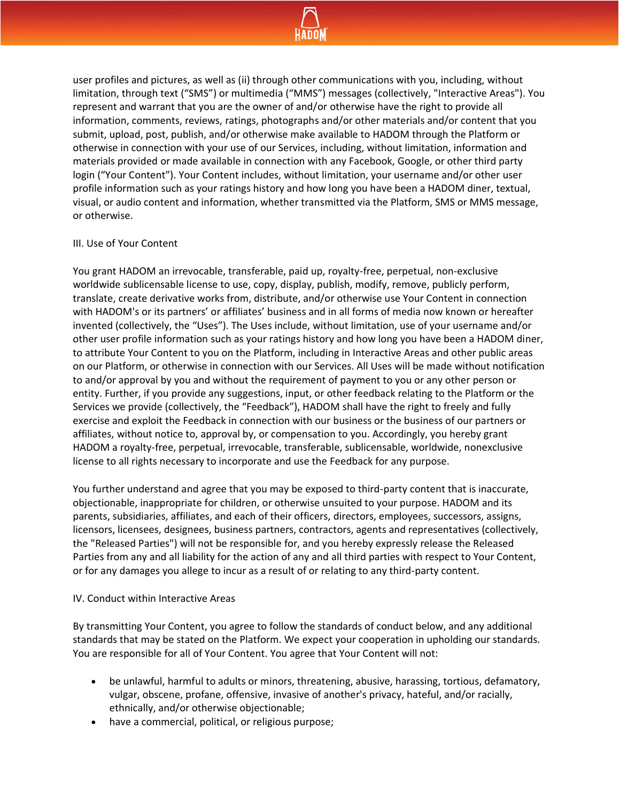

user profiles and pictures, as well as (ii) through other communications with you, including, without limitation, through text ("SMS") or multimedia ("MMS") messages (collectively, "Interactive Areas"). You represent and warrant that you are the owner of and/or otherwise have the right to provide all information, comments, reviews, ratings, photographs and/or other materials and/or content that you submit, upload, post, publish, and/or otherwise make available to HADOM through the Platform or otherwise in connection with your use of our Services, including, without limitation, information and materials provided or made available in connection with any Facebook, Google, or other third party login ("Your Content"). Your Content includes, without limitation, your username and/or other user profile information such as your ratings history and how long you have been a HADOM diner, textual, visual, or audio content and information, whether transmitted via the Platform, SMS or MMS message, or otherwise.

#### III. Use of Your Content

You grant HADOM an irrevocable, transferable, paid up, royalty-free, perpetual, non-exclusive worldwide sublicensable license to use, copy, display, publish, modify, remove, publicly perform, translate, create derivative works from, distribute, and/or otherwise use Your Content in connection with HADOM's or its partners' or affiliates' business and in all forms of media now known or hereafter invented (collectively, the "Uses"). The Uses include, without limitation, use of your username and/or other user profile information such as your ratings history and how long you have been a HADOM diner, to attribute Your Content to you on the Platform, including in Interactive Areas and other public areas on our Platform, or otherwise in connection with our Services. All Uses will be made without notification to and/or approval by you and without the requirement of payment to you or any other person or entity. Further, if you provide any suggestions, input, or other feedback relating to the Platform or the Services we provide (collectively, the "Feedback"), HADOM shall have the right to freely and fully exercise and exploit the Feedback in connection with our business or the business of our partners or affiliates, without notice to, approval by, or compensation to you. Accordingly, you hereby grant HADOM a royalty-free, perpetual, irrevocable, transferable, sublicensable, worldwide, nonexclusive license to all rights necessary to incorporate and use the Feedback for any purpose.

You further understand and agree that you may be exposed to third-party content that is inaccurate, objectionable, inappropriate for children, or otherwise unsuited to your purpose. HADOM and its parents, subsidiaries, affiliates, and each of their officers, directors, employees, successors, assigns, licensors, licensees, designees, business partners, contractors, agents and representatives (collectively, the "Released Parties") will not be responsible for, and you hereby expressly release the Released Parties from any and all liability for the action of any and all third parties with respect to Your Content, or for any damages you allege to incur as a result of or relating to any third-party content.

#### IV. Conduct within Interactive Areas

By transmitting Your Content, you agree to follow the standards of conduct below, and any additional standards that may be stated on the Platform. We expect your cooperation in upholding our standards. You are responsible for all of Your Content. You agree that Your Content will not:

- be unlawful, harmful to adults or minors, threatening, abusive, harassing, tortious, defamatory, vulgar, obscene, profane, offensive, invasive of another's privacy, hateful, and/or racially, ethnically, and/or otherwise objectionable;
- have a commercial, political, or religious purpose;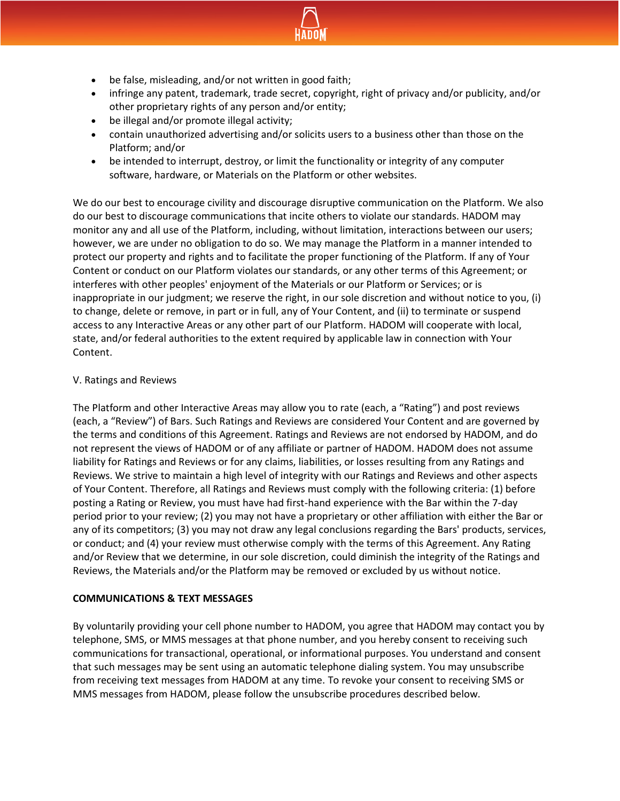

- be false, misleading, and/or not written in good faith;
- infringe any patent, trademark, trade secret, copyright, right of privacy and/or publicity, and/or other proprietary rights of any person and/or entity;
- be illegal and/or promote illegal activity;
- contain unauthorized advertising and/or solicits users to a business other than those on the Platform; and/or
- be intended to interrupt, destroy, or limit the functionality or integrity of any computer software, hardware, or Materials on the Platform or other websites.

We do our best to encourage civility and discourage disruptive communication on the Platform. We also do our best to discourage communications that incite others to violate our standards. HADOM may monitor any and all use of the Platform, including, without limitation, interactions between our users; however, we are under no obligation to do so. We may manage the Platform in a manner intended to protect our property and rights and to facilitate the proper functioning of the Platform. If any of Your Content or conduct on our Platform violates our standards, or any other terms of this Agreement; or interferes with other peoples' enjoyment of the Materials or our Platform or Services; or is inappropriate in our judgment; we reserve the right, in our sole discretion and without notice to you, (i) to change, delete or remove, in part or in full, any of Your Content, and (ii) to terminate or suspend access to any Interactive Areas or any other part of our Platform. HADOM will cooperate with local, state, and/or federal authorities to the extent required by applicable law in connection with Your Content.

## V. Ratings and Reviews

The Platform and other Interactive Areas may allow you to rate (each, a "Rating") and post reviews (each, a "Review") of Bars. Such Ratings and Reviews are considered Your Content and are governed by the terms and conditions of this Agreement. Ratings and Reviews are not endorsed by HADOM, and do not represent the views of HADOM or of any affiliate or partner of HADOM. HADOM does not assume liability for Ratings and Reviews or for any claims, liabilities, or losses resulting from any Ratings and Reviews. We strive to maintain a high level of integrity with our Ratings and Reviews and other aspects of Your Content. Therefore, all Ratings and Reviews must comply with the following criteria: (1) before posting a Rating or Review, you must have had first-hand experience with the Bar within the 7-day period prior to your review; (2) you may not have a proprietary or other affiliation with either the Bar or any of its competitors; (3) you may not draw any legal conclusions regarding the Bars' products, services, or conduct; and (4) your review must otherwise comply with the terms of this Agreement. Any Rating and/or Review that we determine, in our sole discretion, could diminish the integrity of the Ratings and Reviews, the Materials and/or the Platform may be removed or excluded by us without notice.

## **COMMUNICATIONS & TEXT MESSAGES**

By voluntarily providing your cell phone number to HADOM, you agree that HADOM may contact you by telephone, SMS, or MMS messages at that phone number, and you hereby consent to receiving such communications for transactional, operational, or informational purposes. You understand and consent that such messages may be sent using an automatic telephone dialing system. You may unsubscribe from receiving text messages from HADOM at any time. To revoke your consent to receiving SMS or MMS messages from HADOM, please follow the unsubscribe procedures described below.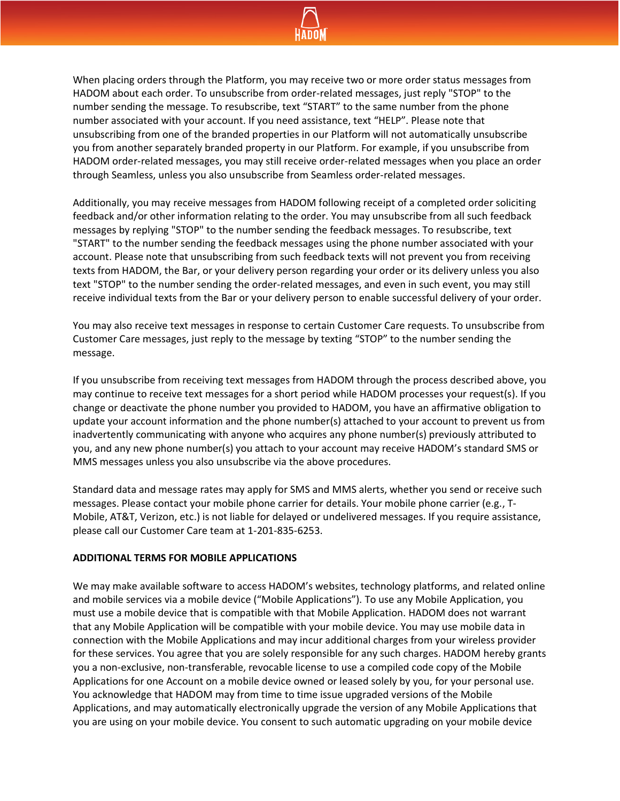

When placing orders through the Platform, you may receive two or more order status messages from HADOM about each order. To unsubscribe from order-related messages, just reply "STOP" to the number sending the message. To resubscribe, text "START" to the same number from the phone number associated with your account. If you need assistance, text "HELP". Please note that unsubscribing from one of the branded properties in our Platform will not automatically unsubscribe you from another separately branded property in our Platform. For example, if you unsubscribe from HADOM order-related messages, you may still receive order-related messages when you place an order through Seamless, unless you also unsubscribe from Seamless order-related messages.

Additionally, you may receive messages from HADOM following receipt of a completed order soliciting feedback and/or other information relating to the order. You may unsubscribe from all such feedback messages by replying "STOP" to the number sending the feedback messages. To resubscribe, text "START" to the number sending the feedback messages using the phone number associated with your account. Please note that unsubscribing from such feedback texts will not prevent you from receiving texts from HADOM, the Bar, or your delivery person regarding your order or its delivery unless you also text "STOP" to the number sending the order-related messages, and even in such event, you may still receive individual texts from the Bar or your delivery person to enable successful delivery of your order.

You may also receive text messages in response to certain Customer Care requests. To unsubscribe from Customer Care messages, just reply to the message by texting "STOP" to the number sending the message.

If you unsubscribe from receiving text messages from HADOM through the process described above, you may continue to receive text messages for a short period while HADOM processes your request(s). If you change or deactivate the phone number you provided to HADOM, you have an affirmative obligation to update your account information and the phone number(s) attached to your account to prevent us from inadvertently communicating with anyone who acquires any phone number(s) previously attributed to you, and any new phone number(s) you attach to your account may receive HADOM's standard SMS or MMS messages unless you also unsubscribe via the above procedures.

Standard data and message rates may apply for SMS and MMS alerts, whether you send or receive such messages. Please contact your mobile phone carrier for details. Your mobile phone carrier (e.g., T-Mobile, AT&T, Verizon, etc.) is not liable for delayed or undelivered messages. If you require assistance, please call our Customer Care team at 1-201-835-6253.

#### **ADDITIONAL TERMS FOR MOBILE APPLICATIONS**

We may make available software to access HADOM's websites, technology platforms, and related online and mobile services via a mobile device ("Mobile Applications"). To use any Mobile Application, you must use a mobile device that is compatible with that Mobile Application. HADOM does not warrant that any Mobile Application will be compatible with your mobile device. You may use mobile data in connection with the Mobile Applications and may incur additional charges from your wireless provider for these services. You agree that you are solely responsible for any such charges. HADOM hereby grants you a non-exclusive, non-transferable, revocable license to use a compiled code copy of the Mobile Applications for one Account on a mobile device owned or leased solely by you, for your personal use. You acknowledge that HADOM may from time to time issue upgraded versions of the Mobile Applications, and may automatically electronically upgrade the version of any Mobile Applications that you are using on your mobile device. You consent to such automatic upgrading on your mobile device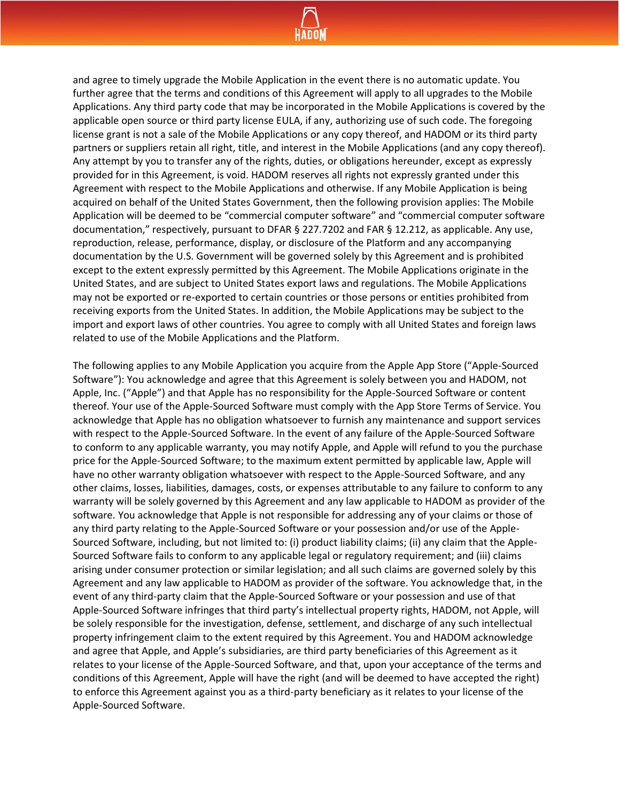

and agree to timely upgrade the Mobile Application in the event there is no automatic update. You further agree that the terms and conditions of this Agreement will apply to all upgrades to the Mobile Applications. Any third party code that may be incorporated in the Mobile Applications is covered by the applicable open source or third party license EULA, if any, authorizing use of such code. The foregoing license grant is not a sale of the Mobile Applications or any copy thereof, and HADOM or its third party partners or suppliers retain all right, title, and interest in the Mobile Applications (and any copy thereof). Any attempt by you to transfer any of the rights, duties, or obligations hereunder, except as expressly provided for in this Agreement, is void. HADOM reserves all rights not expressly granted under this Agreement with respect to the Mobile Applications and otherwise. If any Mobile Application is being acquired on behalf of the United States Government, then the following provision applies: The Mobile Application will be deemed to be "commercial computer software" and "commercial computer software documentation," respectively, pursuant to DFAR § 227.7202 and FAR § 12.212, as applicable. Any use, reproduction, release, performance, display, or disclosure of the Platform and any accompanying documentation by the U.S. Government will be governed solely by this Agreement and is prohibited except to the extent expressly permitted by this Agreement. The Mobile Applications originate in the United States, and are subject to United States export laws and regulations. The Mobile Applications may not be exported or re-exported to certain countries or those persons or entities prohibited from receiving exports from the United States. In addition, the Mobile Applications may be subject to the import and export laws of other countries. You agree to comply with all United States and foreign laws related to use of the Mobile Applications and the Platform.

The following applies to any Mobile Application you acquire from the Apple App Store ("Apple-Sourced Software"): You acknowledge and agree that this Agreement is solely between you and HADOM, not Apple, Inc. ("Apple") and that Apple has no responsibility for the Apple-Sourced Software or content thereof. Your use of the Apple-Sourced Software must comply with the App Store Terms of Service. You acknowledge that Apple has no obligation whatsoever to furnish any maintenance and support services with respect to the Apple-Sourced Software. In the event of any failure of the Apple-Sourced Software to conform to any applicable warranty, you may notify Apple, and Apple will refund to you the purchase price for the Apple-Sourced Software; to the maximum extent permitted by applicable law, Apple will have no other warranty obligation whatsoever with respect to the Apple-Sourced Software, and any other claims, losses, liabilities, damages, costs, or expenses attributable to any failure to conform to any warranty will be solely governed by this Agreement and any law applicable to HADOM as provider of the software. You acknowledge that Apple is not responsible for addressing any of your claims or those of any third party relating to the Apple-Sourced Software or your possession and/or use of the Apple-Sourced Software, including, but not limited to: (i) product liability claims; (ii) any claim that the Apple-Sourced Software fails to conform to any applicable legal or regulatory requirement; and (iii) claims arising under consumer protection or similar legislation; and all such claims are governed solely by this Agreement and any law applicable to HADOM as provider of the software. You acknowledge that, in the event of any third-party claim that the Apple-Sourced Software or your possession and use of that Apple-Sourced Software infringes that third party's intellectual property rights, HADOM, not Apple, will be solely responsible for the investigation, defense, settlement, and discharge of any such intellectual property infringement claim to the extent required by this Agreement. You and HADOM acknowledge and agree that Apple, and Apple's subsidiaries, are third party beneficiaries of this Agreement as it relates to your license of the Apple-Sourced Software, and that, upon your acceptance of the terms and conditions of this Agreement, Apple will have the right (and will be deemed to have accepted the right) to enforce this Agreement against you as a third-party beneficiary as it relates to your license of the Apple-Sourced Software.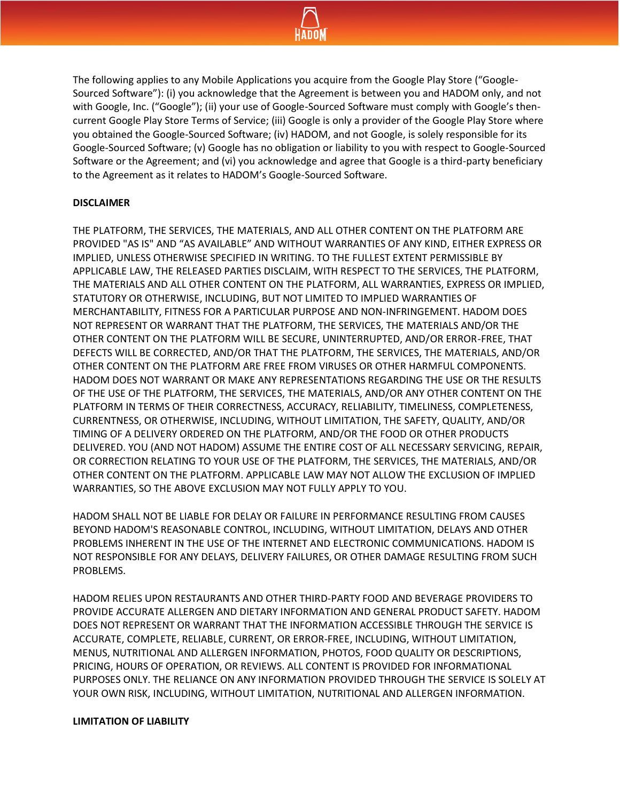

The following applies to any Mobile Applications you acquire from the Google Play Store ("Google-Sourced Software"): (i) you acknowledge that the Agreement is between you and HADOM only, and not with Google, Inc. ("Google"); (ii) your use of Google-Sourced Software must comply with Google's thencurrent Google Play Store Terms of Service; (iii) Google is only a provider of the Google Play Store where you obtained the Google-Sourced Software; (iv) HADOM, and not Google, is solely responsible for its Google-Sourced Software; (v) Google has no obligation or liability to you with respect to Google-Sourced Software or the Agreement; and (vi) you acknowledge and agree that Google is a third-party beneficiary to the Agreement as it relates to HADOM's Google-Sourced Software.

#### **DISCLAIMER**

THE PLATFORM, THE SERVICES, THE MATERIALS, AND ALL OTHER CONTENT ON THE PLATFORM ARE PROVIDED "AS IS" AND "AS AVAILABLE" AND WITHOUT WARRANTIES OF ANY KIND, EITHER EXPRESS OR IMPLIED, UNLESS OTHERWISE SPECIFIED IN WRITING. TO THE FULLEST EXTENT PERMISSIBLE BY APPLICABLE LAW, THE RELEASED PARTIES DISCLAIM, WITH RESPECT TO THE SERVICES, THE PLATFORM, THE MATERIALS AND ALL OTHER CONTENT ON THE PLATFORM, ALL WARRANTIES, EXPRESS OR IMPLIED, STATUTORY OR OTHERWISE, INCLUDING, BUT NOT LIMITED TO IMPLIED WARRANTIES OF MERCHANTABILITY, FITNESS FOR A PARTICULAR PURPOSE AND NON-INFRINGEMENT. HADOM DOES NOT REPRESENT OR WARRANT THAT THE PLATFORM, THE SERVICES, THE MATERIALS AND/OR THE OTHER CONTENT ON THE PLATFORM WILL BE SECURE, UNINTERRUPTED, AND/OR ERROR-FREE, THAT DEFECTS WILL BE CORRECTED, AND/OR THAT THE PLATFORM, THE SERVICES, THE MATERIALS, AND/OR OTHER CONTENT ON THE PLATFORM ARE FREE FROM VIRUSES OR OTHER HARMFUL COMPONENTS. HADOM DOES NOT WARRANT OR MAKE ANY REPRESENTATIONS REGARDING THE USE OR THE RESULTS OF THE USE OF THE PLATFORM, THE SERVICES, THE MATERIALS, AND/OR ANY OTHER CONTENT ON THE PLATFORM IN TERMS OF THEIR CORRECTNESS, ACCURACY, RELIABILITY, TIMELINESS, COMPLETENESS, CURRENTNESS, OR OTHERWISE, INCLUDING, WITHOUT LIMITATION, THE SAFETY, QUALITY, AND/OR TIMING OF A DELIVERY ORDERED ON THE PLATFORM, AND/OR THE FOOD OR OTHER PRODUCTS DELIVERED. YOU (AND NOT HADOM) ASSUME THE ENTIRE COST OF ALL NECESSARY SERVICING, REPAIR, OR CORRECTION RELATING TO YOUR USE OF THE PLATFORM, THE SERVICES, THE MATERIALS, AND/OR OTHER CONTENT ON THE PLATFORM. APPLICABLE LAW MAY NOT ALLOW THE EXCLUSION OF IMPLIED WARRANTIES, SO THE ABOVE EXCLUSION MAY NOT FULLY APPLY TO YOU.

HADOM SHALL NOT BE LIABLE FOR DELAY OR FAILURE IN PERFORMANCE RESULTING FROM CAUSES BEYOND HADOM'S REASONABLE CONTROL, INCLUDING, WITHOUT LIMITATION, DELAYS AND OTHER PROBLEMS INHERENT IN THE USE OF THE INTERNET AND ELECTRONIC COMMUNICATIONS. HADOM IS NOT RESPONSIBLE FOR ANY DELAYS, DELIVERY FAILURES, OR OTHER DAMAGE RESULTING FROM SUCH PROBLEMS.

HADOM RELIES UPON RESTAURANTS AND OTHER THIRD-PARTY FOOD AND BEVERAGE PROVIDERS TO PROVIDE ACCURATE ALLERGEN AND DIETARY INFORMATION AND GENERAL PRODUCT SAFETY. HADOM DOES NOT REPRESENT OR WARRANT THAT THE INFORMATION ACCESSIBLE THROUGH THE SERVICE IS ACCURATE, COMPLETE, RELIABLE, CURRENT, OR ERROR-FREE, INCLUDING, WITHOUT LIMITATION, MENUS, NUTRITIONAL AND ALLERGEN INFORMATION, PHOTOS, FOOD QUALITY OR DESCRIPTIONS, PRICING, HOURS OF OPERATION, OR REVIEWS. ALL CONTENT IS PROVIDED FOR INFORMATIONAL PURPOSES ONLY. THE RELIANCE ON ANY INFORMATION PROVIDED THROUGH THE SERVICE IS SOLELY AT YOUR OWN RISK, INCLUDING, WITHOUT LIMITATION, NUTRITIONAL AND ALLERGEN INFORMATION.

#### **LIMITATION OF LIABILITY**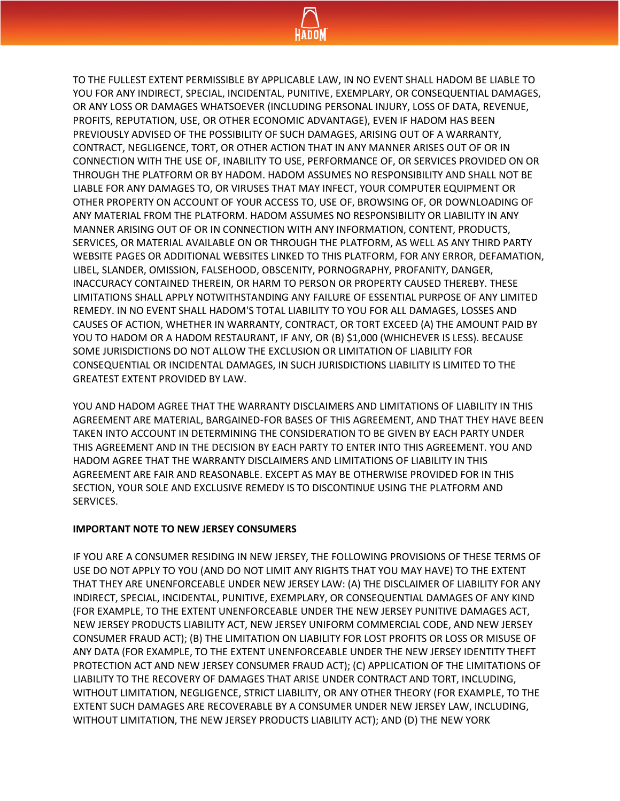

TO THE FULLEST EXTENT PERMISSIBLE BY APPLICABLE LAW, IN NO EVENT SHALL HADOM BE LIABLE TO YOU FOR ANY INDIRECT, SPECIAL, INCIDENTAL, PUNITIVE, EXEMPLARY, OR CONSEQUENTIAL DAMAGES, OR ANY LOSS OR DAMAGES WHATSOEVER (INCLUDING PERSONAL INJURY, LOSS OF DATA, REVENUE, PROFITS, REPUTATION, USE, OR OTHER ECONOMIC ADVANTAGE), EVEN IF HADOM HAS BEEN PREVIOUSLY ADVISED OF THE POSSIBILITY OF SUCH DAMAGES, ARISING OUT OF A WARRANTY, CONTRACT, NEGLIGENCE, TORT, OR OTHER ACTION THAT IN ANY MANNER ARISES OUT OF OR IN CONNECTION WITH THE USE OF, INABILITY TO USE, PERFORMANCE OF, OR SERVICES PROVIDED ON OR THROUGH THE PLATFORM OR BY HADOM. HADOM ASSUMES NO RESPONSIBILITY AND SHALL NOT BE LIABLE FOR ANY DAMAGES TO, OR VIRUSES THAT MAY INFECT, YOUR COMPUTER EQUIPMENT OR OTHER PROPERTY ON ACCOUNT OF YOUR ACCESS TO, USE OF, BROWSING OF, OR DOWNLOADING OF ANY MATERIAL FROM THE PLATFORM. HADOM ASSUMES NO RESPONSIBILITY OR LIABILITY IN ANY MANNER ARISING OUT OF OR IN CONNECTION WITH ANY INFORMATION, CONTENT, PRODUCTS, SERVICES, OR MATERIAL AVAILABLE ON OR THROUGH THE PLATFORM, AS WELL AS ANY THIRD PARTY WEBSITE PAGES OR ADDITIONAL WEBSITES LINKED TO THIS PLATFORM, FOR ANY ERROR, DEFAMATION, LIBEL, SLANDER, OMISSION, FALSEHOOD, OBSCENITY, PORNOGRAPHY, PROFANITY, DANGER, INACCURACY CONTAINED THEREIN, OR HARM TO PERSON OR PROPERTY CAUSED THEREBY. THESE LIMITATIONS SHALL APPLY NOTWITHSTANDING ANY FAILURE OF ESSENTIAL PURPOSE OF ANY LIMITED REMEDY. IN NO EVENT SHALL HADOM'S TOTAL LIABILITY TO YOU FOR ALL DAMAGES, LOSSES AND CAUSES OF ACTION, WHETHER IN WARRANTY, CONTRACT, OR TORT EXCEED (A) THE AMOUNT PAID BY YOU TO HADOM OR A HADOM RESTAURANT, IF ANY, OR (B) \$1,000 (WHICHEVER IS LESS). BECAUSE SOME JURISDICTIONS DO NOT ALLOW THE EXCLUSION OR LIMITATION OF LIABILITY FOR CONSEQUENTIAL OR INCIDENTAL DAMAGES, IN SUCH JURISDICTIONS LIABILITY IS LIMITED TO THE GREATEST EXTENT PROVIDED BY LAW.

YOU AND HADOM AGREE THAT THE WARRANTY DISCLAIMERS AND LIMITATIONS OF LIABILITY IN THIS AGREEMENT ARE MATERIAL, BARGAINED-FOR BASES OF THIS AGREEMENT, AND THAT THEY HAVE BEEN TAKEN INTO ACCOUNT IN DETERMINING THE CONSIDERATION TO BE GIVEN BY EACH PARTY UNDER THIS AGREEMENT AND IN THE DECISION BY EACH PARTY TO ENTER INTO THIS AGREEMENT. YOU AND HADOM AGREE THAT THE WARRANTY DISCLAIMERS AND LIMITATIONS OF LIABILITY IN THIS AGREEMENT ARE FAIR AND REASONABLE. EXCEPT AS MAY BE OTHERWISE PROVIDED FOR IN THIS SECTION, YOUR SOLE AND EXCLUSIVE REMEDY IS TO DISCONTINUE USING THE PLATFORM AND SERVICES.

#### **IMPORTANT NOTE TO NEW JERSEY CONSUMERS**

IF YOU ARE A CONSUMER RESIDING IN NEW JERSEY, THE FOLLOWING PROVISIONS OF THESE TERMS OF USE DO NOT APPLY TO YOU (AND DO NOT LIMIT ANY RIGHTS THAT YOU MAY HAVE) TO THE EXTENT THAT THEY ARE UNENFORCEABLE UNDER NEW JERSEY LAW: (A) THE DISCLAIMER OF LIABILITY FOR ANY INDIRECT, SPECIAL, INCIDENTAL, PUNITIVE, EXEMPLARY, OR CONSEQUENTIAL DAMAGES OF ANY KIND (FOR EXAMPLE, TO THE EXTENT UNENFORCEABLE UNDER THE NEW JERSEY PUNITIVE DAMAGES ACT, NEW JERSEY PRODUCTS LIABILITY ACT, NEW JERSEY UNIFORM COMMERCIAL CODE, AND NEW JERSEY CONSUMER FRAUD ACT); (B) THE LIMITATION ON LIABILITY FOR LOST PROFITS OR LOSS OR MISUSE OF ANY DATA (FOR EXAMPLE, TO THE EXTENT UNENFORCEABLE UNDER THE NEW JERSEY IDENTITY THEFT PROTECTION ACT AND NEW JERSEY CONSUMER FRAUD ACT); (C) APPLICATION OF THE LIMITATIONS OF LIABILITY TO THE RECOVERY OF DAMAGES THAT ARISE UNDER CONTRACT AND TORT, INCLUDING, WITHOUT LIMITATION, NEGLIGENCE, STRICT LIABILITY, OR ANY OTHER THEORY (FOR EXAMPLE, TO THE EXTENT SUCH DAMAGES ARE RECOVERABLE BY A CONSUMER UNDER NEW JERSEY LAW, INCLUDING, WITHOUT LIMITATION, THE NEW JERSEY PRODUCTS LIABILITY ACT); AND (D) THE NEW YORK